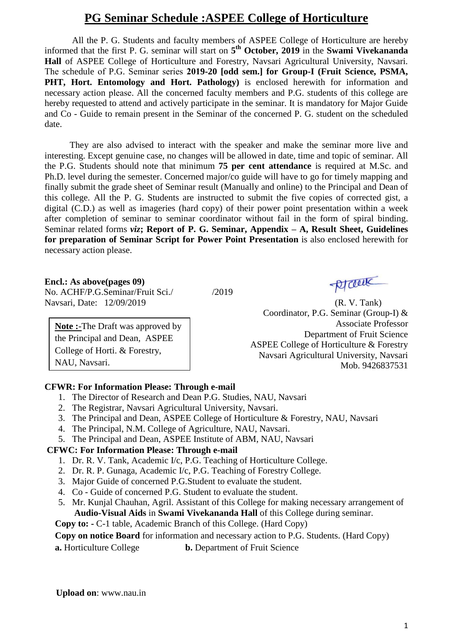# **PG Seminar Schedule :ASPEE College of Horticulture**

All the P. G. Students and faculty members of ASPEE College of Horticulture are hereby informed that the first P. G. seminar will start on **5 th October, 2019** in the **Swami Vivekananda Hall** of ASPEE College of Horticulture and Forestry, Navsari Agricultural University, Navsari. The schedule of P.G. Seminar series **2019-20 [odd sem.] for Group-I (Fruit Science, PSMA, PHT, Hort. Entomology and Hort. Pathology**) is enclosed herewith for information and necessary action please. All the concerned faculty members and P.G. students of this college are hereby requested to attend and actively participate in the seminar. It is mandatory for Major Guide and Co - Guide to remain present in the Seminar of the concerned P. G. student on the scheduled date.

 They are also advised to interact with the speaker and make the seminar more live and interesting. Except genuine case, no changes will be allowed in date, time and topic of seminar. All the P.G. Students should note that minimum **75 per cent attendance** is required at M.Sc. and Ph.D. level during the semester. Concerned major/co guide will have to go for timely mapping and finally submit the grade sheet of Seminar result (Manually and online) to the Principal and Dean of this college. All the P. G. Students are instructed to submit the five copies of corrected gist, a digital (C.D.) as well as imageries (hard copy) of their power point presentation within a week after completion of seminar to seminar coordinator without fail in the form of spiral binding. Seminar related forms *viz***; Report of P. G. Seminar, Appendix – A, Result Sheet, Guidelines for preparation of Seminar Script for Power Point Presentation** is also enclosed herewith for necessary action please.

#### **Encl.: As above(pages 09)**

No. ACHF/P.G.Seminar/Fruit Sci./ /2019 Navsari, Date: 12/09/2019 (R. V. Tank)

**Note :**-The Draft was approved by the Principal and Dean, ASPEE College of Horti. & Forestry, NAU, Navsari.

prout

Coordinator, P.G. Seminar (Group-I) & Associate Professor Department of Fruit Science ASPEE College of Horticulture & Forestry Navsari Agricultural University, Navsari Mob. 9426837531

#### **CFWR: For Information Please: Through e-mail**

- 1. The Director of Research and Dean P.G. Studies, NAU, Navsari
- 2. The Registrar, Navsari Agricultural University, Navsari.
- 3. The Principal and Dean, ASPEE College of Horticulture & Forestry, NAU, Navsari
- 4. The Principal, N.M. College of Agriculture, NAU, Navsari.
- 5. The Principal and Dean, ASPEE Institute of ABM, NAU, Navsari

#### **CFWC: For Information Please: Through e-mail**

- 1. Dr. R. V. Tank, Academic I/c, P.G. Teaching of Horticulture College.
- 2. Dr. R. P. Gunaga, Academic I/c, P.G. Teaching of Forestry College.
- 3. Major Guide of concerned P.G.Student to evaluate the student.
- 4. Co Guide of concerned P.G. Student to evaluate the student.
- 5. Mr. Kunjal Chauhan, Agril. Assistant of this College for making necessary arrangement of **Audio-Visual Aids** in **Swami Vivekananda Hall** of this College during seminar.
- **Copy to: -** C-1 table, Academic Branch of this College. (Hard Copy)

#### **Copy on notice Board** for information and necessary action to P.G. Students. (Hard Copy)

**a.** Horticulture College **b.** Department of Fruit Science

 **Upload on**: www.nau.in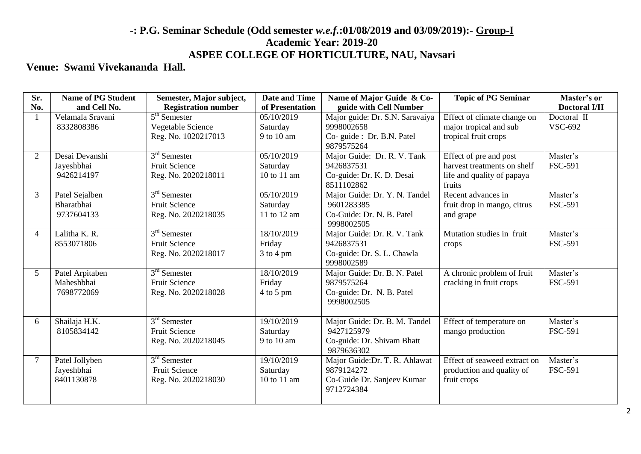# **-: P.G. Seminar Schedule (Odd semester** *w.e.f.***:01/08/2019 and 03/09/2019):- Group-I Academic Year: 2019-20 ASPEE COLLEGE OF HORTICULTURE, NAU, Navsari**

## **Venue: Swami Vivekananda Hall.**

| Sr.            | <b>Name of PG Student</b> | Semester, Major subject,   | Date and Time   | Name of Major Guide & Co-               | <b>Topic of PG Seminar</b>   | Master's or          |
|----------------|---------------------------|----------------------------|-----------------|-----------------------------------------|------------------------------|----------------------|
| No.            | and Cell No.              | <b>Registration number</b> | of Presentation | guide with Cell Number                  |                              | <b>Doctoral I/II</b> |
|                | Velamala Sravani          | $5th$ Semester             | 05/10/2019      | Major guide: Dr. S.N. Saravaiya         | Effect of climate change on  | Doctoral II          |
|                | 8332808386                | Vegetable Science          | Saturday        | 9998002658                              | major tropical and sub       | <b>VSC-692</b>       |
|                |                           | Reg. No. 1020217013        | 9 to 10 am      | Co-guide : Dr. B.N. Patel<br>9879575264 | tropical fruit crops         |                      |
| 2              | Desai Devanshi            | $3rd$ Semester             | 05/10/2019      | Major Guide: Dr. R. V. Tank             | Effect of pre and post       | Master's             |
|                | Jayeshbhai                | <b>Fruit Science</b>       | Saturday        | 9426837531                              | harvest treatments on shelf  | FSC-591              |
|                | 9426214197                | Reg. No. 2020218011        | 10 to 11 am     | Co-guide: Dr. K. D. Desai               | life and quality of papaya   |                      |
|                |                           |                            |                 | 8511102862                              | fruits                       |                      |
| $\mathfrak{Z}$ | Patel Sejalben            | $3rd$ Semester             | 05/10/2019      | Major Guide: Dr. Y. N. Tandel           | Recent advances in           | Master's             |
|                | Bharatbhai                | <b>Fruit Science</b>       | Saturday        | 9601283385                              | fruit drop in mango, citrus  | <b>FSC-591</b>       |
|                | 9737604133                | Reg. No. 2020218035        | 11 to 12 am     | Co-Guide: Dr. N. B. Patel               | and grape                    |                      |
|                |                           |                            |                 | 9998002505                              |                              |                      |
| 4              | Lalitha K. R.             | 3 <sup>rd</sup> Semester   | 18/10/2019      | Major Guide: Dr. R. V. Tank             | Mutation studies in fruit    | Master's             |
|                | 8553071806                | <b>Fruit Science</b>       | Friday          | 9426837531                              | crops                        | <b>FSC-591</b>       |
|                |                           | Reg. No. 2020218017        | $3$ to $4$ pm   | Co-guide: Dr. S. L. Chawla              |                              |                      |
|                |                           |                            |                 | 9998002589                              |                              |                      |
| 5              | Patel Arpitaben           | $3rd$ Semester             | 18/10/2019      | Major Guide: Dr. B. N. Patel            | A chronic problem of fruit   | Master's             |
|                | Maheshbhai                | <b>Fruit Science</b>       | Friday          | 9879575264                              | cracking in fruit crops      | <b>FSC-591</b>       |
|                | 7698772069                | Reg. No. 2020218028        | $4$ to 5 pm     | Co-guide: Dr. N. B. Patel               |                              |                      |
|                |                           |                            |                 | 9998002505                              |                              |                      |
|                |                           |                            |                 |                                         |                              |                      |
| 6              | Shailaja H.K.             | $3rd$ Semester             | 19/10/2019      | Major Guide: Dr. B. M. Tandel           | Effect of temperature on     | Master's             |
|                | 8105834142                | <b>Fruit Science</b>       | Saturday        | 9427125979                              | mango production             | <b>FSC-591</b>       |
|                |                           | Reg. No. 2020218045        | 9 to 10 am      | Co-guide: Dr. Shivam Bhatt              |                              |                      |
|                |                           |                            |                 | 9879636302                              |                              |                      |
| $\overline{7}$ | Patel Jollyben            | $3rd$ Semester             | 19/10/2019      | Major Guide: Dr. T. R. Ahlawat          | Effect of seaweed extract on | Master's             |
|                | Jayeshbhai                | <b>Fruit Science</b>       | Saturday        | 9879124272                              | production and quality of    | <b>FSC-591</b>       |
|                | 8401130878                | Reg. No. 2020218030        | 10 to 11 am     | Co-Guide Dr. Sanjeev Kumar              | fruit crops                  |                      |
|                |                           |                            |                 | 9712724384                              |                              |                      |
|                |                           |                            |                 |                                         |                              |                      |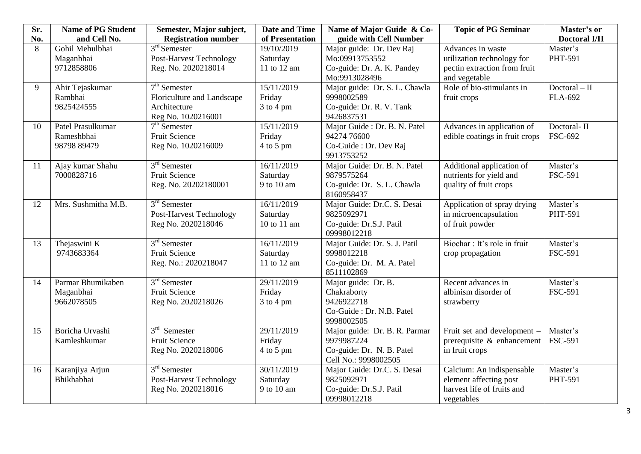| Sr. | <b>Name of PG Student</b> | Semester, Major subject,       | <b>Date and Time</b> | Name of Major Guide & Co-                 | <b>Topic of PG Seminar</b>                           | Master's or          |
|-----|---------------------------|--------------------------------|----------------------|-------------------------------------------|------------------------------------------------------|----------------------|
| No. | and Cell No.              | <b>Registration number</b>     | of Presentation      | guide with Cell Number                    |                                                      | <b>Doctoral I/II</b> |
| 8   | Gohil Mehulbhai           | $3rd$ Semester                 | 19/10/2019           | Major guide: Dr. Dev Raj                  | Advances in waste                                    | Master's             |
|     | Maganbhai                 | <b>Post-Harvest Technology</b> | Saturday             | Mo:09913753552                            | utilization technology for                           | PHT-591              |
|     | 9712858806                | Reg. No. 2020218014            | 11 to 12 am          | Co-guide: Dr. A. K. Pandey                | pectin extraction from fruit                         |                      |
|     |                           |                                |                      | Mo:9913028496                             | and vegetable                                        |                      |
| 9   | Ahir Tejaskumar           | $7th$ Semester                 | 15/11/2019           | Major guide: Dr. S. L. Chawla             | Role of bio-stimulants in                            | $Doctoral - II$      |
|     | Rambhai                   | Floriculture and Landscape     | Friday               | 9998002589                                | fruit crops                                          | <b>FLA-692</b>       |
|     | 9825424555                | Architecture                   | $3$ to 4 pm          | Co-guide: Dr. R. V. Tank                  |                                                      |                      |
|     |                           | Reg No. 1020216001             |                      | 9426837531                                |                                                      |                      |
| 10  | Patel Prasulkumar         | $7th$ Semester                 | 15/11/2019           | Major Guide : Dr. B. N. Patel             | Advances in application of                           | Doctoral-II          |
|     | Rameshbhai                | <b>Fruit Science</b>           | Friday               | 94274 76600                               | edible coatings in fruit crops                       | <b>FSC-692</b>       |
|     | 98798 89479               | Reg No. 1020216009             | 4 to 5 pm            | Co-Guide : Dr. Dev Raj                    |                                                      |                      |
|     |                           |                                |                      | 9913753252                                |                                                      |                      |
| 11  | Ajay kumar Shahu          | $3rd$ Semester                 | 16/11/2019           | Major Guide: Dr. B. N. Patel              | Additional application of                            | Master's             |
|     | 7000828716                | <b>Fruit Science</b>           | Saturday             | 9879575264                                | nutrients for yield and                              | <b>FSC-591</b>       |
|     |                           | Reg. No. 20202180001           | 9 to 10 am           | Co-guide: Dr. S. L. Chawla                | quality of fruit crops                               |                      |
| 12  | Mrs. Sushmitha M.B.       | $3rd$ Semester                 | 16/11/2019           | 8160958437                                |                                                      | Master's             |
|     |                           | <b>Post-Harvest Technology</b> | Saturday             | Major Guide: Dr.C. S. Desai<br>9825092971 | Application of spray drying<br>in microencapsulation | PHT-591              |
|     |                           | Reg No. 2020218046             | 10 to 11 am          | Co-guide: Dr.S.J. Patil                   | of fruit powder                                      |                      |
|     |                           |                                |                      | 09998012218                               |                                                      |                      |
| 13  | Thejaswini K              | $3rd$ Semester                 | 16/11/2019           | Major Guide: Dr. S. J. Patil              | Biochar: It's role in fruit                          | Master's             |
|     | 9743683364                | <b>Fruit Science</b>           | Saturday             | 9998012218                                | crop propagation                                     | <b>FSC-591</b>       |
|     |                           | Reg. No.: 2020218047           | 11 to 12 am          | Co-guide: Dr. M. A. Patel                 |                                                      |                      |
|     |                           |                                |                      | 8511102869                                |                                                      |                      |
| 14  | Parmar Bhumikaben         | $3rd$ Semester                 | 29/11/2019           | Major guide: Dr. B.                       | Recent advances in                                   | Master's             |
|     | Maganbhai                 | Fruit Science                  | Friday               | Chakraborty                               | albinism disorder of                                 | <b>FSC-591</b>       |
|     | 9662078505                | Reg No. 2020218026             | $3$ to $4$ pm        | 9426922718                                | strawberry                                           |                      |
|     |                           |                                |                      | Co-Guide : Dr. N.B. Patel                 |                                                      |                      |
|     |                           |                                |                      | 9998002505                                |                                                      |                      |
| 15  | Boricha Urvashi           | $3rd$ Semester                 | 29/11/2019           | Major guide: Dr. B. R. Parmar             | Fruit set and development -                          | Master's             |
|     | Kamleshkumar              | <b>Fruit Science</b>           | Friday               | 9979987224                                | prerequisite & enhancement                           | <b>FSC-591</b>       |
|     |                           | Reg No. 2020218006             | 4 to 5 pm            | Co-guide: Dr. N. B. Patel                 | in fruit crops                                       |                      |
|     |                           |                                |                      | Cell No.: 9998002505                      |                                                      |                      |
| 16  | Karanjiya Arjun           | $3rd$ Semester                 | 30/11/2019           | Major Guide: Dr.C. S. Desai               | Calcium: An indispensable                            | Master's             |
|     | Bhikhabhai                | <b>Post-Harvest Technology</b> | Saturday             | 9825092971                                | element affecting post                               | PHT-591              |
|     |                           | Reg No. 2020218016             | 9 to 10 am           | Co-guide: Dr.S.J. Patil                   | harvest life of fruits and                           |                      |
|     |                           |                                |                      | 09998012218                               | vegetables                                           |                      |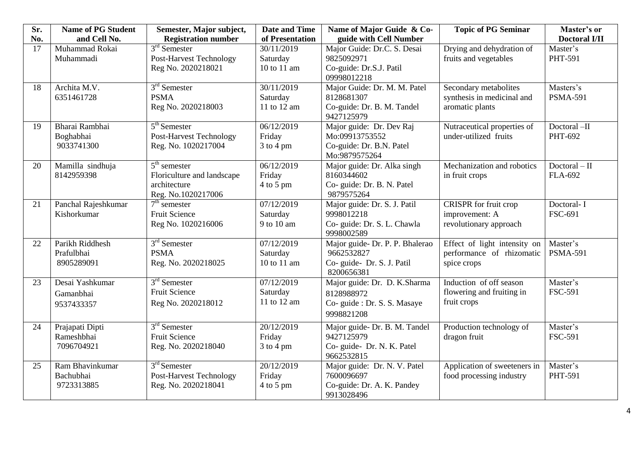| Sr. | <b>Name of PG Student</b>                   | Semester, Major subject,                                                           | <b>Date and Time</b>                  | <b>Topic of PG Seminar</b><br>Name of Major Guide & Co-                                   |                                                                          | Master's or                       |
|-----|---------------------------------------------|------------------------------------------------------------------------------------|---------------------------------------|-------------------------------------------------------------------------------------------|--------------------------------------------------------------------------|-----------------------------------|
| No. | and Cell No.                                | <b>Registration number</b>                                                         | of Presentation                       | guide with Cell Number                                                                    |                                                                          | <b>Doctoral I/II</b>              |
| 17  | Muhammad Rokai<br>Muhammadi                 | $3rd$ Semester<br><b>Post-Harvest Technology</b><br>Reg No. 2020218021             | 30/11/2019<br>Saturday<br>10 to 11 am | Major Guide: Dr.C. S. Desai<br>9825092971<br>Co-guide: Dr.S.J. Patil                      | Drying and dehydration of<br>fruits and vegetables                       | Master's<br>PHT-591               |
|     |                                             |                                                                                    |                                       | 09998012218                                                                               |                                                                          |                                   |
| 18  | Archita M.V.<br>6351461728                  | $3rd$ Semester<br><b>PSMA</b><br>Reg No. 2020218003                                | 30/11/2019<br>Saturday<br>11 to 12 am | Major Guide: Dr. M. M. Patel<br>8128681307<br>Co-guide: Dr. B. M. Tandel<br>9427125979    | Secondary metabolites<br>synthesis in medicinal and<br>aromatic plants   | Masters's<br><b>PSMA-591</b>      |
| 19  | Bharai Rambhai<br>Boghabhai<br>9033741300   | $5th$ Semester<br><b>Post-Harvest Technology</b><br>Reg. No. 1020217004            | 06/12/2019<br>Friday<br>$3$ to $4$ pm | Major guide: Dr. Dev Raj<br>Mo:09913753552<br>Co-guide: Dr. B.N. Patel<br>Mo:9879575264   | Nutraceutical properties of<br>under-utilized fruits                     | Doctoral-II<br>PHT-692            |
| 20  | Mamilla sindhuja<br>8142959398              | $5th$ semester<br>Floriculture and landscape<br>architecture<br>Reg. No.1020217006 | 06/12/2019<br>Friday<br>$4$ to 5 pm   | Major guide: Dr. Alka singh<br>8160344602<br>Co- guide: Dr. B. N. Patel<br>9879575264     | Mechanization and robotics<br>in fruit crops                             | $Doctoral - II$<br><b>FLA-692</b> |
| 21  | Panchal Rajeshkumar<br>Kishorkumar          | $7th$ semester<br>Fruit Science<br>Reg No. 1020216006                              | 07/12/2019<br>Saturday<br>9 to 10 am  | Major guide: Dr. S. J. Patil<br>9998012218<br>Co- guide: Dr. S. L. Chawla<br>9998002589   | CRISPR for fruit crop<br>improvement: A<br>revolutionary approach        | Doctoral-I<br>FSC-691             |
| 22  | Parikh Riddhesh<br>Prafulbhai<br>8905289091 | $3rd$ Semester<br><b>PSMA</b><br>Reg. No. 2020218025                               | 07/12/2019<br>Saturday<br>10 to 11 am | Major guide- Dr. P. P. Bhalerao<br>9662532827<br>Co- guide- Dr. S. J. Patil<br>8200656381 | Effect of light intensity on<br>performance of rhizomatic<br>spice crops | Master's<br><b>PSMA-591</b>       |
| 23  | Desai Yashkumar<br>Gamanbhai<br>9537433357  | $3rd$ Semester<br>Fruit Science<br>Reg No. 2020218012                              | 07/12/2019<br>Saturday<br>11 to 12 am | Major guide: Dr. D. K.Sharma<br>8128988972<br>Co- guide : Dr. S. S. Masaye<br>9998821208  | Induction of off season<br>flowering and fruiting in<br>fruit crops      | Master's<br><b>FSC-591</b>        |
| 24  | Prajapati Dipti<br>Rameshbhai<br>7096704921 | $3rd$ Semester<br><b>Fruit Science</b><br>Reg. No. 2020218040                      | 20/12/2019<br>Friday<br>$3$ to 4 pm   | Major guide- Dr. B. M. Tandel<br>9427125979<br>Co- guide- Dr. N. K. Patel<br>9662532815   | Production technology of<br>dragon fruit                                 | Master's<br><b>FSC-591</b>        |
| 25  | Ram Bhavinkumar<br>Bachubhai<br>9723313885  | $3rd$ Semester<br><b>Post-Harvest Technology</b><br>Reg. No. 2020218041            | 20/12/2019<br>Friday<br>4 to 5 pm     | Major guide: Dr. N. V. Patel<br>7600096697<br>Co-guide: Dr. A. K. Pandey<br>9913028496    | Application of sweeteners in<br>food processing industry                 | Master's<br>PHT-591               |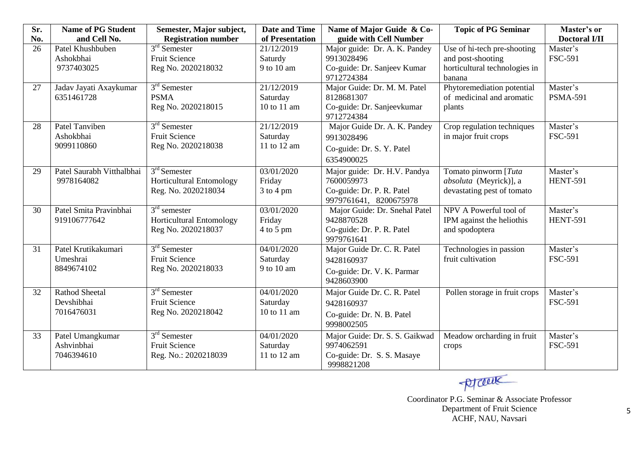| Sr. | <b>Name of PG Student</b> | Semester, Major subject,   | <b>Date and Time</b> | Name of Major Guide & Co-      | <b>Topic of PG Seminar</b>    | Master's or          |
|-----|---------------------------|----------------------------|----------------------|--------------------------------|-------------------------------|----------------------|
| No. | and Cell No.              | <b>Registration number</b> | of Presentation      | guide with Cell Number         |                               | <b>Doctoral I/II</b> |
| 26  | Patel Khushbuben          | $3rd$ Semester             | 21/12/2019           | Major guide: Dr. A. K. Pandey  | Use of hi-tech pre-shooting   | Master's             |
|     | Ashokbhai                 | <b>Fruit Science</b>       | Saturdy              | 9913028496                     | and post-shooting             | <b>FSC-591</b>       |
|     | 9737403025                | Reg No. 2020218032         | 9 to 10 am           | Co-guide: Dr. Sanjeev Kumar    | horticultural technologies in |                      |
|     |                           |                            |                      | 9712724384                     | banana                        |                      |
| 27  | Jadav Jayati Axaykumar    | $3rd$ Semester             | 21/12/2019           | Major Guide: Dr. M. M. Patel   | Phytoremediation potential    | Master's             |
|     | 6351461728                | <b>PSMA</b>                | Saturday             | 8128681307                     | of medicinal and aromatic     | <b>PSMA-591</b>      |
|     |                           | Reg No. 2020218015         | 10 to 11 am          | Co-guide: Dr. Sanjeevkumar     | plants                        |                      |
|     |                           |                            |                      | 9712724384                     |                               |                      |
| 28  | Patel Tanviben            | $3rd$ Semester             | 21/12/2019           | Major Guide Dr. A. K. Pandey   | Crop regulation techniques    | Master's             |
|     | Ashokbhai                 | Fruit Science              | Saturday             | 9913028496                     | in major fruit crops          | <b>FSC-591</b>       |
|     | 9099110860                | Reg No. 2020218038         | 11 to 12 am          | Co-guide: Dr. S. Y. Patel      |                               |                      |
|     |                           |                            |                      | 6354900025                     |                               |                      |
| 29  | Patel Saurabh Vitthalbhai | $3rd$ Semester             | 03/01/2020           | Major guide: Dr. H.V. Pandya   | Tomato pinworm [Tuta]         | Master's             |
|     | 9978164082                | Horticultural Entomology   | Friday               | 7600059973                     | absoluta (Meyrick)], a        | <b>HENT-591</b>      |
|     |                           | Reg. No. 2020218034        | $3$ to $4$ pm        | Co-guide: Dr. P. R. Patel      | devastating pest of tomato    |                      |
|     |                           |                            |                      | 9979761641, 8200675978         |                               |                      |
| 30  | Patel Smita Pravinbhai    | $3rd$ semester             | 03/01/2020           | Major Guide: Dr. Snehal Patel  | NPV A Powerful tool of        | Master's             |
|     | 919106777642              | Horticultural Entomology   | Friday               | 9428870528                     | IPM against the heliothis     | <b>HENT-591</b>      |
|     |                           | Reg No. 2020218037         | 4 to 5 pm            | Co-guide: Dr. P. R. Patel      | and spodoptera                |                      |
|     |                           |                            |                      | 9979761641                     |                               |                      |
| 31  | Patel Krutikakumari       | $3rd$ Semester             | 04/01/2020           | Major Guide Dr. C. R. Patel    | Technologies in passion       | Master's             |
|     | Umeshrai                  | <b>Fruit Science</b>       | Saturday             | 9428160937                     | fruit cultivation             | <b>FSC-591</b>       |
|     | 8849674102                | Reg No. 2020218033         | 9 to 10 am           | Co-guide: Dr. V. K. Parmar     |                               |                      |
|     |                           |                            |                      | 9428603900                     |                               |                      |
| 32  | <b>Rathod Sheetal</b>     | $3rd$ Semester             | 04/01/2020           | Major Guide Dr. C. R. Patel    | Pollen storage in fruit crops | Master's             |
|     | Devshibhai                | <b>Fruit Science</b>       | Saturday             | 9428160937                     |                               | <b>FSC-591</b>       |
|     | 7016476031                | Reg No. 2020218042         | 10 to 11 am          | Co-guide: Dr. N. B. Patel      |                               |                      |
|     |                           |                            |                      | 9998002505                     |                               |                      |
| 33  | Patel Umangkumar          | $3rd$ Semester             | 04/01/2020           | Major Guide: Dr. S. S. Gaikwad | Meadow orcharding in fruit    | Master's             |
|     | Ashvinbhai                | <b>Fruit Science</b>       | Saturday             | 9974062591                     | crops                         | <b>FSC-591</b>       |
|     | 7046394610                | Reg. No.: 2020218039       | 11 to 12 am          | Co-guide: Dr. S. S. Masaye     |                               |                      |
|     |                           |                            |                      | 9998821208                     |                               |                      |

processive

Coordinator P.G. Seminar & Associate Professor Department of Fruit Science ACHF, NAU, Navsari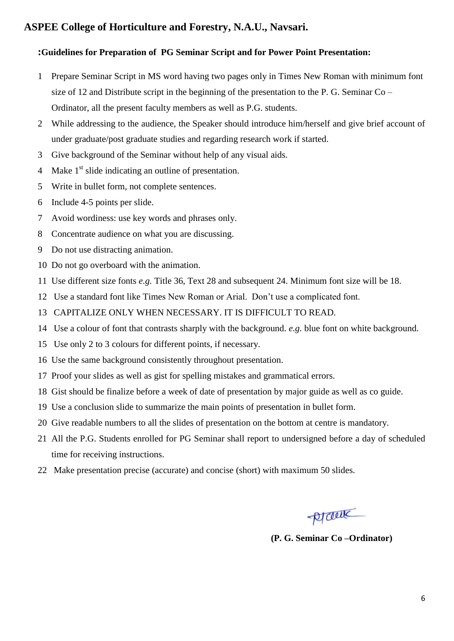## **ASPEE College of Horticulture and Forestry, N.A.U., Navsari.**

#### **:Guidelines for Preparation of PG Seminar Script and for Power Point Presentation:**

- Prepare Seminar Script in MS word having two pages only in Times New Roman with minimum font size of 12 and Distribute script in the beginning of the presentation to the P. G. Seminar  $Co$  – Ordinator, all the present faculty members as well as P.G. students.
- While addressing to the audience, the Speaker should introduce him/herself and give brief account of under graduate/post graduate studies and regarding research work if started.
- Give background of the Seminar without help of any visual aids.
- 4 Make 1<sup>st</sup> slide indicating an outline of presentation.
- Write in bullet form, not complete sentences.
- Include 4-5 points per slide.
- Avoid wordiness: use key words and phrases only.
- Concentrate audience on what you are discussing.
- Do not use distracting animation.
- Do not go overboard with the animation.
- Use different size fonts *e.g.* Title 36, Text 28 and subsequent 24. Minimum font size will be 18.
- Use a standard font like Times New Roman or Arial. Don't use a complicated font.
- CAPITALIZE ONLY WHEN NECESSARY. IT IS DIFFICULT TO READ.
- Use a colour of font that contrasts sharply with the background. *e.g.* blue font on white background.
- Use only 2 to 3 colours for different points, if necessary.
- Use the same background consistently throughout presentation.
- Proof your slides as well as gist for spelling mistakes and grammatical errors.
- Gist should be finalize before a week of date of presentation by major guide as well as co guide.
- Use a conclusion slide to summarize the main points of presentation in bullet form.
- Give readable numbers to all the slides of presentation on the bottom at centre is mandatory.
- All the P.G. Students enrolled for PG Seminar shall report to undersigned before a day of scheduled time for receiving instructions.
- Make presentation precise (accurate) and concise (short) with maximum 50 slides.

prout

**(P. G. Seminar Co –Ordinator)**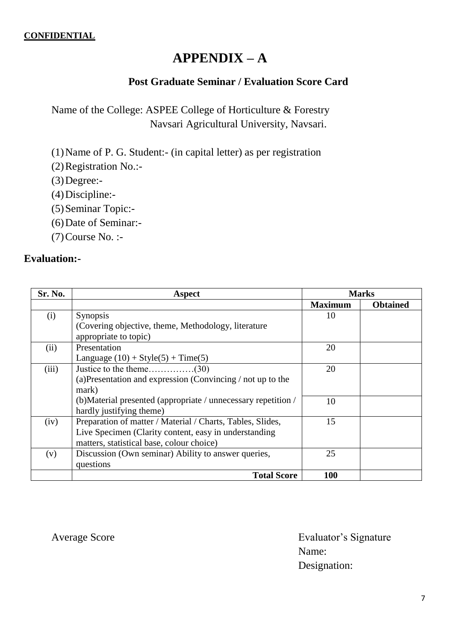# **APPENDIX – A**

## **Post Graduate Seminar / Evaluation Score Card**

Name of the College: ASPEE College of Horticulture & Forestry Navsari Agricultural University, Navsari.

(1)Name of P. G. Student:- (in capital letter) as per registration

(2)Registration No.:-

 $(3)$ Degree:-

- (4)Discipline:-
- (5)Seminar Topic:-
- (6)Date of Seminar:-
- (7)Course No. :-

## **Evaluation:-**

| Sr. No. | Aspect                                                         |                | <b>Marks</b>    |
|---------|----------------------------------------------------------------|----------------|-----------------|
|         |                                                                | <b>Maximum</b> | <b>Obtained</b> |
| (i)     | <b>Synopsis</b>                                                | 10             |                 |
|         | (Covering objective, theme, Methodology, literature)           |                |                 |
|         | appropriate to topic)                                          |                |                 |
| (ii)    | Presentation                                                   | 20             |                 |
|         | Language $(10) + Style(5) + Time(5)$                           |                |                 |
| (iii)   |                                                                | 20             |                 |
|         | (a) Presentation and expression (Convincing $/$ not up to the  |                |                 |
|         | mark)                                                          |                |                 |
|         | (b) Material presented (appropriate / unnecessary repetition / | 10             |                 |
|         | hardly justifying theme)                                       |                |                 |
| (iv)    | Preparation of matter / Material / Charts, Tables, Slides,     | 15             |                 |
|         | Live Specimen (Clarity content, easy in understanding          |                |                 |
|         | matters, statistical base, colour choice)                      |                |                 |
| (v)     | Discussion (Own seminar) Ability to answer queries,            | 25             |                 |
|         | questions                                                      |                |                 |
|         | <b>Total Score</b>                                             | 100            |                 |

Average Score **Evaluator's Signature** Name: Designation: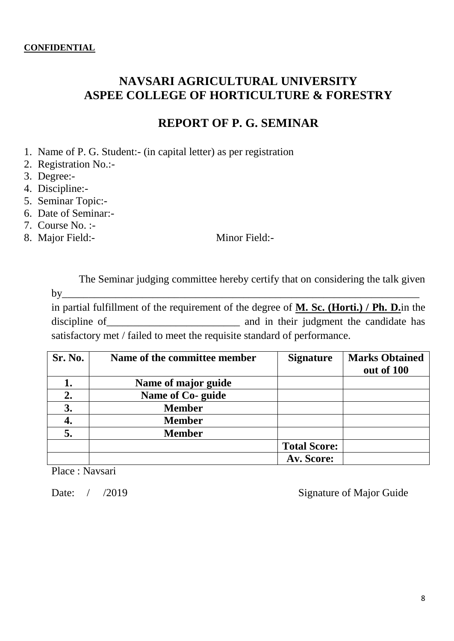# **NAVSARI AGRICULTURAL UNIVERSITY ASPEE COLLEGE OF HORTICULTURE & FORESTRY**

# **REPORT OF P. G. SEMINAR**

- 1. Name of P. G. Student:- (in capital letter) as per registration
- 2. Registration No.:-
- 3. Degree:-
- 4. Discipline:-
- 5. Seminar Topic:-
- 6. Date of Seminar:-
- 7. Course No. :-
- 8. Major Field:- Minor Field:-

The Seminar judging committee hereby certify that on considering the talk given  $by$ 

in partial fulfillment of the requirement of the degree of **M. Sc. (Horti.) / Ph. D.**in the discipline of and in their judgment the candidate has satisfactory met / failed to meet the requisite standard of performance.

| Sr. No. | Name of the committee member | <b>Signature</b>    | <b>Marks Obtained</b><br>out of 100 |
|---------|------------------------------|---------------------|-------------------------------------|
|         | Name of major guide          |                     |                                     |
| 2.      | Name of Co- guide            |                     |                                     |
| 3.      | <b>Member</b>                |                     |                                     |
| 4.      | <b>Member</b>                |                     |                                     |
| 5.      | <b>Member</b>                |                     |                                     |
|         |                              | <b>Total Score:</b> |                                     |
|         |                              | Av. Score:          |                                     |

Place : Navsari

Date: / /2019 Signature of Major Guide